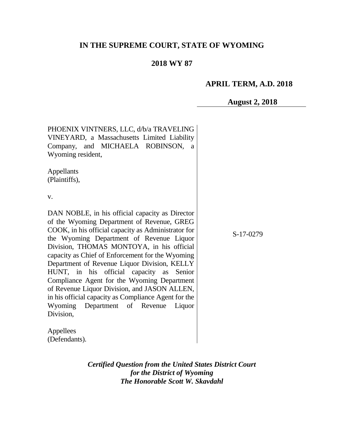# **IN THE SUPREME COURT, STATE OF WYOMING**

## **2018 WY 87**

### **APRIL TERM, A.D. 2018**

**August 2, 2018**

PHOENIX VINTNERS, LLC, d/b/a TRAVELING VINEYARD, a Massachusetts Limited Liability Company, and MICHAELA ROBINSON, a Wyoming resident, Appellants (Plaintiffs), v. DAN NOBLE, in his official capacity as Director of the Wyoming Department of Revenue, GREG COOK, in his official capacity as Administrator for the Wyoming Department of Revenue Liquor Division, THOMAS MONTOYA, in his official capacity as Chief of Enforcement for the Wyoming Department of Revenue Liquor Division, KELLY HUNT, in his official capacity as Senior Compliance Agent for the Wyoming Department of Revenue Liquor Division, and JASON ALLEN, in his official capacity as Compliance Agent for the Wyoming Department of Revenue Liquor Division,

S-17-0279

Appellees (Defendants).

> *Certified Question from the United States District Court for the District of Wyoming The Honorable Scott W. Skavdahl*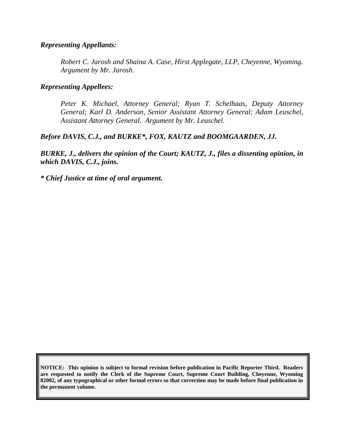#### *Representing Appellants:*

*Robert C. Jarosh and Shaina A. Case, Hirst Applegate, LLP, Cheyenne, Wyoming. Argument by Mr. Jarosh.* 

### *Representing Appellees:*

*Peter K. Michael, Attorney General; Ryan T. Schelhaas, Deputy Attorney General; Karl D. Anderson, Senior Assistant Attorney General; Adam Leuschel, Assistant Attorney General. Argument by Mr. Leuschel.*

## *Before DAVIS, C.J., and BURKE\*, FOX, KAUTZ and BOOMGAARDEN, JJ.*

*BURKE, J., delivers the opinion of the Court; KAUTZ, J., files a dissenting opinion, in which DAVIS, C.J., joins.*

*\* Chief Justice at time of oral argument.*

**NOTICE: This opinion is subject to formal revision before publication in Pacific Reporter Third. Readers are requested to notify the Clerk of the Supreme Court, Supreme Court Building, Cheyenne, Wyoming 82002, of any typographical or other formal errors so that correction may be made before final publication in the permanent volume.**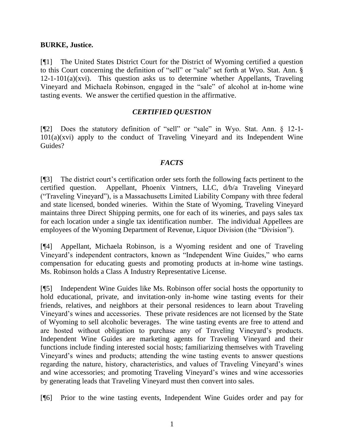### **BURKE, Justice.**

[¶1] The United States District Court for the District of Wyoming certified a question to this Court concerning the definition of "sell" or "sale" set forth at Wyo. Stat. Ann. §  $12-1-101(a)(xvi)$ . This question asks us to determine whether Appellants, Traveling Vineyard and Michaela Robinson, engaged in the "sale" of alcohol at in-home wine tasting events. We answer the certified question in the affirmative.

## *CERTIFIED QUESTION*

[¶2] Does the statutory definition of "sell" or "sale" in Wyo. Stat. Ann. § 12-1- 101(a)(xvi) apply to the conduct of Traveling Vineyard and its Independent Wine Guides?

## *FACTS*

[¶3] The district court's certification order sets forth the following facts pertinent to the certified question. Appellant, Phoenix Vintners, LLC, d/b/a Traveling Vineyard ("Traveling Vineyard"), is a Massachusetts Limited Liability Company with three federal and state licensed, bonded wineries. Within the State of Wyoming, Traveling Vineyard maintains three Direct Shipping permits, one for each of its wineries, and pays sales tax for each location under a single tax identification number. The individual Appellees are employees of the Wyoming Department of Revenue, Liquor Division (the "Division").

[¶4] Appellant, Michaela Robinson, is a Wyoming resident and one of Traveling Vineyard's independent contractors, known as "Independent Wine Guides," who earns compensation for educating guests and promoting products at in-home wine tastings. Ms. Robinson holds a Class A Industry Representative License.

[¶5] Independent Wine Guides like Ms. Robinson offer social hosts the opportunity to hold educational, private, and invitation-only in-home wine tasting events for their friends, relatives, and neighbors at their personal residences to learn about Traveling Vineyard's wines and accessories. These private residences are not licensed by the State of Wyoming to sell alcoholic beverages. The wine tasting events are free to attend and are hosted without obligation to purchase any of Traveling Vineyard's products. Independent Wine Guides are marketing agents for Traveling Vineyard and their functions include finding interested social hosts; familiarizing themselves with Traveling Vineyard's wines and products; attending the wine tasting events to answer questions regarding the nature, history, characteristics, and values of Traveling Vineyard's wines and wine accessories; and promoting Traveling Vineyard's wines and wine accessories by generating leads that Traveling Vineyard must then convert into sales.

[¶6] Prior to the wine tasting events, Independent Wine Guides order and pay for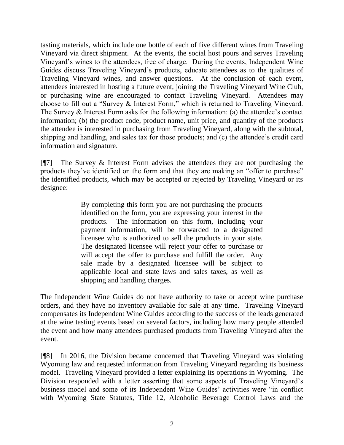tasting materials, which include one bottle of each of five different wines from Traveling Vineyard via direct shipment. At the events, the social host pours and serves Traveling Vineyard's wines to the attendees, free of charge. During the events, Independent Wine Guides discuss Traveling Vineyard's products, educate attendees as to the qualities of Traveling Vineyard wines, and answer questions. At the conclusion of each event, attendees interested in hosting a future event, joining the Traveling Vineyard Wine Club, or purchasing wine are encouraged to contact Traveling Vineyard. Attendees may choose to fill out a "Survey & Interest Form," which is returned to Traveling Vineyard. The Survey & Interest Form asks for the following information: (a) the attendee's contact information; (b) the product code, product name, unit price, and quantity of the products the attendee is interested in purchasing from Traveling Vineyard, along with the subtotal, shipping and handling, and sales tax for those products; and (c) the attendee's credit card information and signature.

[¶7] The Survey & Interest Form advises the attendees they are not purchasing the products they've identified on the form and that they are making an "offer to purchase" the identified products, which may be accepted or rejected by Traveling Vineyard or its designee:

> By completing this form you are not purchasing the products identified on the form, you are expressing your interest in the products. The information on this form, including your payment information, will be forwarded to a designated licensee who is authorized to sell the products in your state. The designated licensee will reject your offer to purchase or will accept the offer to purchase and fulfill the order. Any sale made by a designated licensee will be subject to applicable local and state laws and sales taxes, as well as shipping and handling charges.

The Independent Wine Guides do not have authority to take or accept wine purchase orders, and they have no inventory available for sale at any time. Traveling Vineyard compensates its Independent Wine Guides according to the success of the leads generated at the wine tasting events based on several factors, including how many people attended the event and how many attendees purchased products from Traveling Vineyard after the event.

[¶8] In 2016, the Division became concerned that Traveling Vineyard was violating Wyoming law and requested information from Traveling Vineyard regarding its business model. Traveling Vineyard provided a letter explaining its operations in Wyoming. The Division responded with a letter asserting that some aspects of Traveling Vineyard's business model and some of its Independent Wine Guides' activities were "in conflict with Wyoming State Statutes, Title 12, Alcoholic Beverage Control Laws and the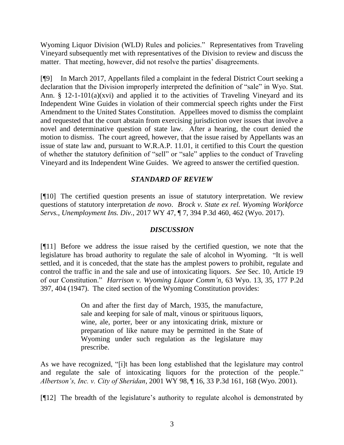Wyoming Liquor Division (WLD) Rules and policies." Representatives from Traveling Vineyard subsequently met with representatives of the Division to review and discuss the matter. That meeting, however, did not resolve the parties' disagreements.

[¶9] In March 2017, Appellants filed a complaint in the federal District Court seeking a declaration that the Division improperly interpreted the definition of "sale" in Wyo. Stat. Ann. § 12-1-101(a)(xvi) and applied it to the activities of Traveling Vineyard and its Independent Wine Guides in violation of their commercial speech rights under the First Amendment to the United States Constitution. Appellees moved to dismiss the complaint and requested that the court abstain from exercising jurisdiction over issues that involve a novel and determinative question of state law. After a hearing, the court denied the motion to dismiss. The court agreed, however, that the issue raised by Appellants was an issue of state law and, pursuant to W.R.A.P. 11.01, it certified to this Court the question of whether the statutory definition of "sell" or "sale" applies to the conduct of Traveling Vineyard and its Independent Wine Guides. We agreed to answer the certified question.

## *STANDARD OF REVIEW*

[¶10] The certified question presents an issue of statutory interpretation. We review questions of statutory interpretation *de novo*. *Brock v. State ex rel. Wyoming Workforce Servs., Unemployment Ins. Div.*, 2017 WY 47, ¶ 7, 394 P.3d 460, 462 (Wyo. 2017).

## *DISCUSSION*

[¶11] Before we address the issue raised by the certified question, we note that the legislature has broad authority to regulate the sale of alcohol in Wyoming. "It is well settled, and it is conceded, that the state has the amplest powers to prohibit, regulate and control the traffic in and the sale and use of intoxicating liquors. *See* Sec. 10, Article 19 of our Constitution." *Harrison v. Wyoming Liquor Comm'n*, 63 Wyo. 13, 35, 177 P.2d 397, 404 (1947). The cited section of the Wyoming Constitution provides:

> On and after the first day of March, 1935, the manufacture, sale and keeping for sale of malt, vinous or spirituous liquors, wine, ale, porter, beer or any intoxicating drink, mixture or preparation of like nature may be permitted in the State of Wyoming under such regulation as the legislature may prescribe.

As we have recognized, "[i]t has been long established that the legislature may control and regulate the sale of intoxicating liquors for the protection of the people." *Albertson's, Inc. v. City of Sheridan*, 2001 WY 98, ¶ 16, 33 P.3d 161, 168 (Wyo. 2001).

[¶12] The breadth of the legislature's authority to regulate alcohol is demonstrated by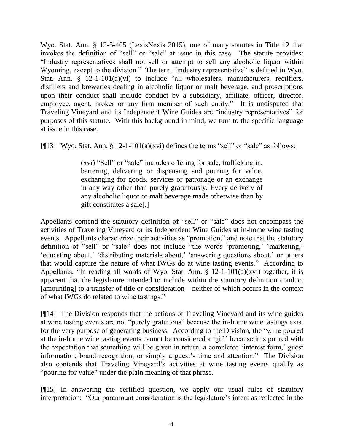Wyo. Stat. Ann. § 12-5-405 (LexisNexis 2015), one of many statutes in Title 12 that invokes the definition of "sell" or "sale" at issue in this case. The statute provides: "Industry representatives shall not sell or attempt to sell any alcoholic liquor within Wyoming, except to the division." The term "industry representative" is defined in Wyo. Stat. Ann. § 12-1-101(a)(vi) to include "all wholesalers, manufacturers, rectifiers, distillers and breweries dealing in alcoholic liquor or malt beverage, and proscriptions upon their conduct shall include conduct by a subsidiary, affiliate, officer, director, employee, agent, broker or any firm member of such entity." It is undisputed that Traveling Vineyard and its Independent Wine Guides are "industry representatives" for purposes of this statute. With this background in mind, we turn to the specific language at issue in this case.

[ $[13]$  Wyo. Stat. Ann. § 12-1-101(a)(xvi) defines the terms "sell" or "sale" as follows:

(xvi) "Sell" or "sale" includes offering for sale, trafficking in, bartering, delivering or dispensing and pouring for value, exchanging for goods, services or patronage or an exchange in any way other than purely gratuitously. Every delivery of any alcoholic liquor or malt beverage made otherwise than by gift constitutes a sale[.]

Appellants contend the statutory definition of "sell" or "sale" does not encompass the activities of Traveling Vineyard or its Independent Wine Guides at in-home wine tasting events. Appellants characterize their activities as "promotion," and note that the statutory definition of "sell" or "sale" does not include "the words 'promoting,' 'marketing,' 'educating about,' 'distributing materials about,' 'answering questions about,' or others that would capture the nature of what IWGs do at wine tasting events." According to Appellants, "In reading all words of Wyo. Stat. Ann.  $\S$  12-1-101(a)(xvi) together, it is apparent that the legislature intended to include within the statutory definition conduct [amounting] to a transfer of title or consideration – neither of which occurs in the context of what IWGs do related to wine tastings."

[¶14] The Division responds that the actions of Traveling Vineyard and its wine guides at wine tasting events are not "purely gratuitous" because the in-home wine tastings exist for the very purpose of generating business. According to the Division, the "wine poured at the in-home wine tasting events cannot be considered a 'gift' because it is poured with the expectation that something will be given in return: a completed 'interest form,' guest information, brand recognition, or simply a guest's time and attention." The Division also contends that Traveling Vineyard's activities at wine tasting events qualify as "pouring for value" under the plain meaning of that phrase.

[¶15] In answering the certified question, we apply our usual rules of statutory interpretation: "Our paramount consideration is the legislature's intent as reflected in the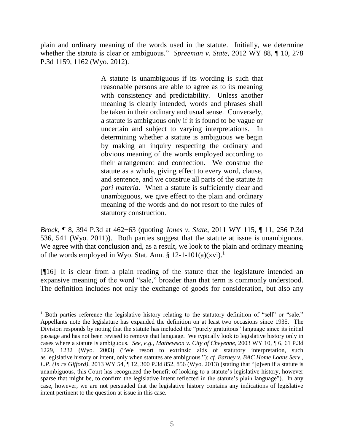plain and ordinary meaning of the words used in the statute. Initially, we determine whether the statute is clear or ambiguous." *Spreeman v. State*, 2012 WY 88, ¶ 10, 278 P.3d 1159, 1162 (Wyo. 2012).

> A statute is unambiguous if its wording is such that reasonable persons are able to agree as to its meaning with consistency and predictability. Unless another meaning is clearly intended, words and phrases shall be taken in their ordinary and usual sense. Conversely, a statute is ambiguous only if it is found to be vague or uncertain and subject to varying interpretations. In determining whether a statute is ambiguous we begin by making an inquiry respecting the ordinary and obvious meaning of the words employed according to their arrangement and connection. We construe the statute as a whole, giving effect to every word, clause, and sentence, and we construe all parts of the statute *in pari materia*. When a statute is sufficiently clear and unambiguous, we give effect to the plain and ordinary meaning of the words and do not resort to the rules of statutory construction.

*Brock*, ¶ 8, 394 P.3d at 462−63 (quoting *Jones v. State*, 2011 WY 115, ¶ 11, 256 P.3d 536, 541 (Wyo. 2011)). Both parties suggest that the statute at issue is unambiguous. We agree with that conclusion and, as a result, we look to the plain and ordinary meaning of the words employed in Wyo. Stat. Ann. § 12-1-101(a)(xvi).<sup>1</sup>

[¶16] It is clear from a plain reading of the statute that the legislature intended an expansive meaning of the word "sale," broader than that term is commonly understood. The definition includes not only the exchange of goods for consideration, but also any

 $\overline{a}$ 

<sup>&</sup>lt;sup>1</sup> Both parties reference the legislative history relating to the statutory definition of "sell" or "sale." Appellants note the legislature has expanded the definition on at least two occasions since 1935. The Division responds by noting that the statute has included the "purely gratuitous" language since its initial passage and has not been revised to remove that language. We typically look to legislative history only in cases where a statute is ambiguous. *See, e.g.*, *Mathewson v. City of Cheyenne*, 2003 WY 10, ¶ 6, 61 P.3d 1229, 1232 (Wyo. 2003) ("We resort to extrinsic aids of statutory interpretation, such as legislative history or intent, only when statutes are ambiguous."); *cf. Barney v. BAC Home Loans Serv., L.P. (In re Gifford)*, 2013 WY 54, ¶ 12, 300 P.3d 852, 856 (Wyo. 2013) (stating that "[e]ven if a statute is unambiguous, this Court has recognized the benefit of looking to a statute's legislative history, however sparse that might be, to confirm the legislative intent reflected in the statute's plain language"). In any case, however, we are not persuaded that the legislative history contains any indications of legislative intent pertinent to the question at issue in this case.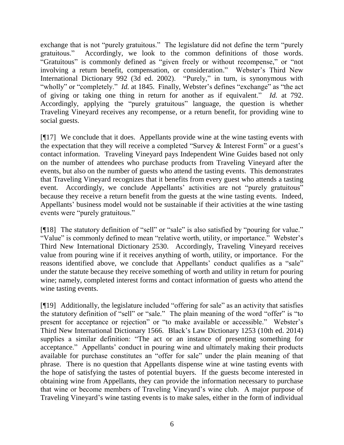exchange that is not "purely gratuitous." The legislature did not define the term "purely gratuitous." Accordingly, we look to the common definitions of those words. "Gratuitous" is commonly defined as "given freely or without recompense," or "not involving a return benefit, compensation, or consideration." Webster's Third New International Dictionary 992 (3d ed. 2002). "Purely," in turn, is synonymous with "wholly" or "completely." *Id.* at 1845. Finally, Webster's defines "exchange" as "the act of giving or taking one thing in return for another as if equivalent." *Id.* at 792. Accordingly, applying the "purely gratuitous" language, the question is whether Traveling Vineyard receives any recompense, or a return benefit, for providing wine to social guests.

[¶17] We conclude that it does. Appellants provide wine at the wine tasting events with the expectation that they will receive a completed "Survey & Interest Form" or a guest's contact information. Traveling Vineyard pays Independent Wine Guides based not only on the number of attendees who purchase products from Traveling Vineyard after the events, but also on the number of guests who attend the tasting events. This demonstrates that Traveling Vineyard recognizes that it benefits from every guest who attends a tasting event. Accordingly, we conclude Appellants' activities are not "purely gratuitous" because they receive a return benefit from the guests at the wine tasting events. Indeed, Appellants' business model would not be sustainable if their activities at the wine tasting events were "purely gratuitous."

[¶18] The statutory definition of "sell" or "sale" is also satisfied by "pouring for value." "Value" is commonly defined to mean "relative worth, utility, or importance." Webster's Third New International Dictionary 2530. Accordingly, Traveling Vineyard receives value from pouring wine if it receives anything of worth, utility, or importance. For the reasons identified above, we conclude that Appellants' conduct qualifies as a "sale" under the statute because they receive something of worth and utility in return for pouring wine; namely, completed interest forms and contact information of guests who attend the wine tasting events.

[¶19] Additionally, the legislature included "offering for sale" as an activity that satisfies the statutory definition of "sell" or "sale." The plain meaning of the word "offer" is "to present for acceptance or rejection" or "to make available or accessible." Webster's Third New International Dictionary 1566. Black's Law Dictionary 1253 (10th ed. 2014) supplies a similar definition: "The act or an instance of presenting something for acceptance." Appellants' conduct in pouring wine and ultimately making their products available for purchase constitutes an "offer for sale" under the plain meaning of that phrase. There is no question that Appellants dispense wine at wine tasting events with the hope of satisfying the tastes of potential buyers. If the guests become interested in obtaining wine from Appellants, they can provide the information necessary to purchase that wine or become members of Traveling Vineyard's wine club. A major purpose of Traveling Vineyard's wine tasting events is to make sales, either in the form of individual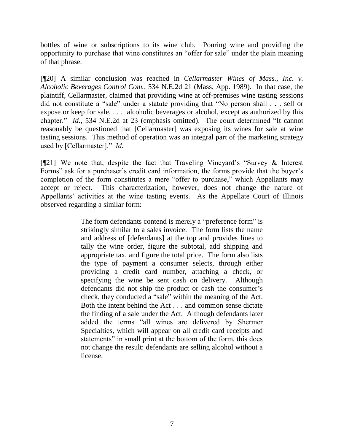bottles of wine or subscriptions to its wine club. Pouring wine and providing the opportunity to purchase that wine constitutes an "offer for sale" under the plain meaning of that phrase.

[¶20] A similar conclusion was reached in *Cellarmaster Wines of Mass., Inc. v. Alcoholic Beverages Control Com.*, 534 N.E.2d 21 (Mass. App. 1989). In that case, the plaintiff, Cellarmaster, claimed that providing wine at off-premises wine tasting sessions did not constitute a "sale" under a statute providing that "No person shall . . . sell or expose or keep for sale, . . . alcoholic beverages or alcohol, except as authorized by this chapter." *Id.*, 534 N.E.2d at 23 (emphasis omitted). The court determined "It cannot reasonably be questioned that [Cellarmaster] was exposing its wines for sale at wine tasting sessions. This method of operation was an integral part of the marketing strategy used by [Cellarmaster]." *Id.*

[¶21] We note that, despite the fact that Traveling Vineyard's "Survey & Interest Forms" ask for a purchaser's credit card information, the forms provide that the buyer's completion of the form constitutes a mere "offer to purchase," which Appellants may accept or reject. This characterization, however, does not change the nature of Appellants' activities at the wine tasting events. As the Appellate Court of Illinois observed regarding a similar form:

> The form defendants contend is merely a "preference form" is strikingly similar to a sales invoice. The form lists the name and address of [defendants] at the top and provides lines to tally the wine order, figure the subtotal, add shipping and appropriate tax, and figure the total price. The form also lists the type of payment a consumer selects, through either providing a credit card number, attaching a check, or specifying the wine be sent cash on delivery. Although defendants did not ship the product or cash the consumer's check, they conducted a "sale" within the meaning of the Act. Both the intent behind the Act . . . and common sense dictate the finding of a sale under the Act. Although defendants later added the terms "all wines are delivered by Shermer Specialties, which will appear on all credit card receipts and statements" in small print at the bottom of the form, this does not change the result: defendants are selling alcohol without a license.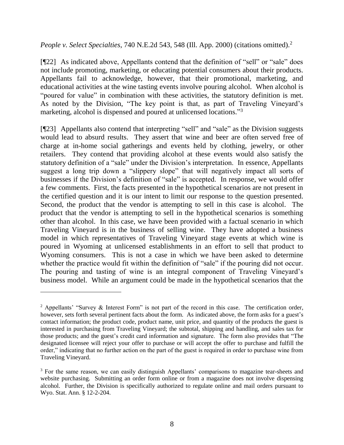*People v. Select Specialties, 740 N.E.2d 543, 548 (Ill. App. 2000) (citations omitted).*<sup>2</sup>

[¶22] As indicated above, Appellants contend that the definition of "sell" or "sale" does not include promoting, marketing, or educating potential consumers about their products. Appellants fail to acknowledge, however, that their promotional, marketing, and educational activities at the wine tasting events involve pouring alcohol. When alcohol is "poured for value" in combination with these activities, the statutory definition is met. As noted by the Division, "The key point is that, as part of Traveling Vineyard's marketing, alcohol is dispensed and poured at unlicensed locations."<sup>3</sup>

[¶23] Appellants also contend that interpreting "sell" and "sale" as the Division suggests would lead to absurd results. They assert that wine and beer are often served free of charge at in-home social gatherings and events held by clothing, jewelry, or other retailers. They contend that providing alcohol at these events would also satisfy the statutory definition of a "sale" under the Division's interpretation. In essence, Appellants suggest a long trip down a "slippery slope" that will negatively impact all sorts of businesses if the Division's definition of "sale" is accepted. In response, we would offer a few comments. First, the facts presented in the hypothetical scenarios are not present in the certified question and it is our intent to limit our response to the question presented. Second, the product that the vendor is attempting to sell in this case is alcohol. The product that the vendor is attempting to sell in the hypothetical scenarios is something other than alcohol. In this case, we have been provided with a factual scenario in which Traveling Vineyard is in the business of selling wine. They have adopted a business model in which representatives of Traveling Vineyard stage events at which wine is poured in Wyoming at unlicensed establishments in an effort to sell that product to Wyoming consumers. This is not a case in which we have been asked to determine whether the practice would fit within the definition of "sale" if the pouring did not occur. The pouring and tasting of wine is an integral component of Traveling Vineyard's business model. While an argument could be made in the hypothetical scenarios that the

<sup>&</sup>lt;sup>2</sup> Appellants' "Survey & Interest Form" is not part of the record in this case. The certification order, however, sets forth several pertinent facts about the form. As indicated above, the form asks for a guest's contact information; the product code, product name, unit price, and quantity of the products the guest is interested in purchasing from Traveling Vineyard; the subtotal, shipping and handling, and sales tax for those products; and the guest's credit card information and signature. The form also provides that "The designated licensee will reject your offer to purchase or will accept the offer to purchase and fulfill the order," indicating that no further action on the part of the guest is required in order to purchase wine from Traveling Vineyard.

<sup>&</sup>lt;sup>3</sup> For the same reason, we can easily distinguish Appellants' comparisons to magazine tear-sheets and website purchasing. Submitting an order form online or from a magazine does not involve dispensing alcohol. Further, the Division is specifically authorized to regulate online and mail orders pursuant to Wyo. Stat. Ann. § 12-2-204.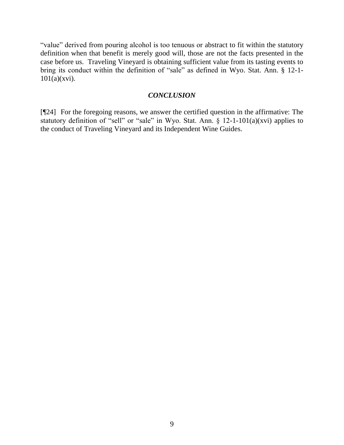"value" derived from pouring alcohol is too tenuous or abstract to fit within the statutory definition when that benefit is merely good will, those are not the facts presented in the case before us. Traveling Vineyard is obtaining sufficient value from its tasting events to bring its conduct within the definition of "sale" as defined in Wyo. Stat. Ann. § 12-1-  $101(a)(xvi)$ .

### *CONCLUSION*

[¶24] For the foregoing reasons, we answer the certified question in the affirmative: The statutory definition of "sell" or "sale" in Wyo. Stat. Ann. § 12-1-101(a)(xvi) applies to the conduct of Traveling Vineyard and its Independent Wine Guides.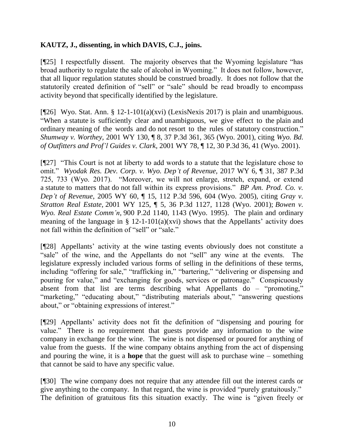## **KAUTZ, J., dissenting, in which DAVIS, C.J., joins.**

[¶25] I respectfully dissent. The majority observes that the Wyoming legislature "has broad authority to regulate the sale of alcohol in Wyoming." It does not follow, however, that all liquor regulation statutes should be construed broadly. It does not follow that the statutorily created definition of "sell" or "sale" should be read broadly to encompass activity beyond that specifically identified by the legislature.

[¶26] Wyo. Stat. Ann. § 12-1-101(a)(xvi) (LexisNexis 2017) is plain and unambiguous. "When a statute is sufficiently clear and unambiguous, we give effect to the plain and ordinary meaning of the words and do not resort to the rules of statutory construction." *Shumway v. Worthey,* 2001 WY 130, ¶ 8, 37 P.3d 361, 365 (Wyo. 2001), citing *Wyo. Bd. of Outfitters and Prof'l Guides v. Clark,* 2001 WY 78, ¶ 12, 30 P.3d 36, 41 (Wyo. 2001).

[¶27] "This Court is not at liberty to add words to a statute that the legislature chose to omit." *Wyodak Res. Dev. Corp. v. Wyo. Dep't of Revenue,* 2017 WY 6, ¶ 31, 387 P.3d 725, 733 (Wyo. 2017). "Moreover, we will not enlarge, stretch, expand, or extend a statute to matters that do not fall within its express provisions." *BP Am. Prod. Co. v. Dep't of Revenue*, 2005 WY 60, ¶ 15, 112 P.3d 596, 604 (Wyo. 2005), citing *Gray v. Stratton Real Estate,* 2001 WY 125, ¶ 5, 36 P.3d 1127, 1128 (Wyo. 2001); *Bowen v. Wyo. Real Estate Comm'n,* 900 P.2d 1140, 1143 (Wyo. 1995). The plain and ordinary meaning of the language in  $\S$  12-1-101(a)(xvi) shows that the Appellants' activity does not fall within the definition of "sell" or "sale."

[¶28] Appellants' activity at the wine tasting events obviously does not constitute a "sale" of the wine, and the Appellants do not "sell" any wine at the events. The legislature expressly included various forms of selling in the definitions of these terms, including "offering for sale," "trafficking in," "bartering," "delivering or dispensing and pouring for value," and "exchanging for goods, services or patronage." Conspicuously absent from that list are terms describing what Appellants do – "promoting," "marketing," "educating about," "distributing materials about," "answering questions" about," or "obtaining expressions of interest."

[¶29] Appellants' activity does not fit the definition of "dispensing and pouring for value." There is no requirement that guests provide any information to the wine company in exchange for the wine. The wine is not dispensed or poured for anything of value from the guests. If the wine company obtains anything from the act of dispensing and pouring the wine, it is a **hope** that the guest will ask to purchase wine – something that cannot be said to have any specific value.

[¶30] The wine company does not require that any attendee fill out the interest cards or give anything to the company. In that regard, the wine is provided "purely gratuitously." The definition of gratuitous fits this situation exactly. The wine is "given freely or